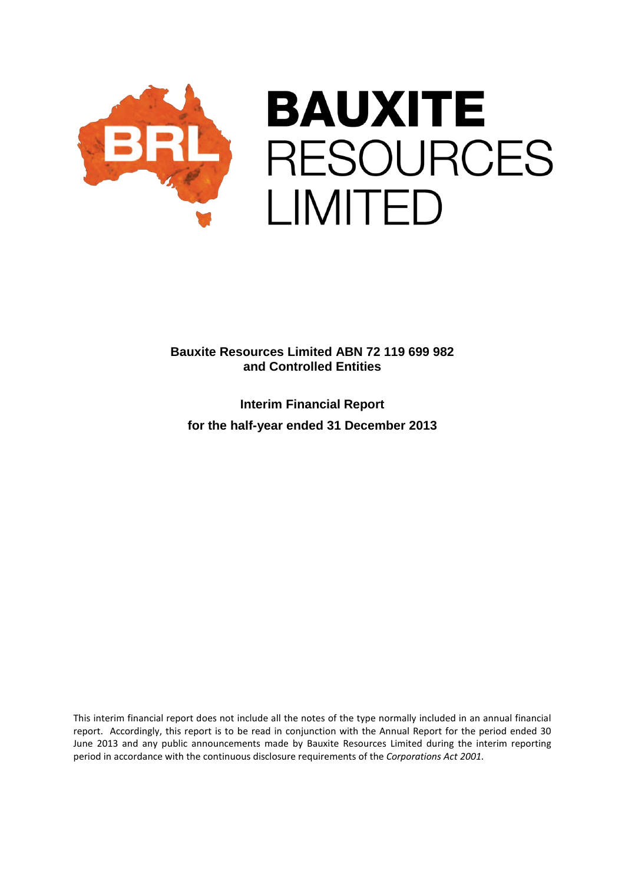

**Interim Financial Report for the half-year ended 31 December 2013**

This interim financial report does not include all the notes of the type normally included in an annual financial report. Accordingly, this report is to be read in conjunction with the Annual Report for the period ended 30 June 2013 and any public announcements made by Bauxite Resources Limited during the interim reporting period in accordance with the continuous disclosure requirements of the *Corporations Act 2001*.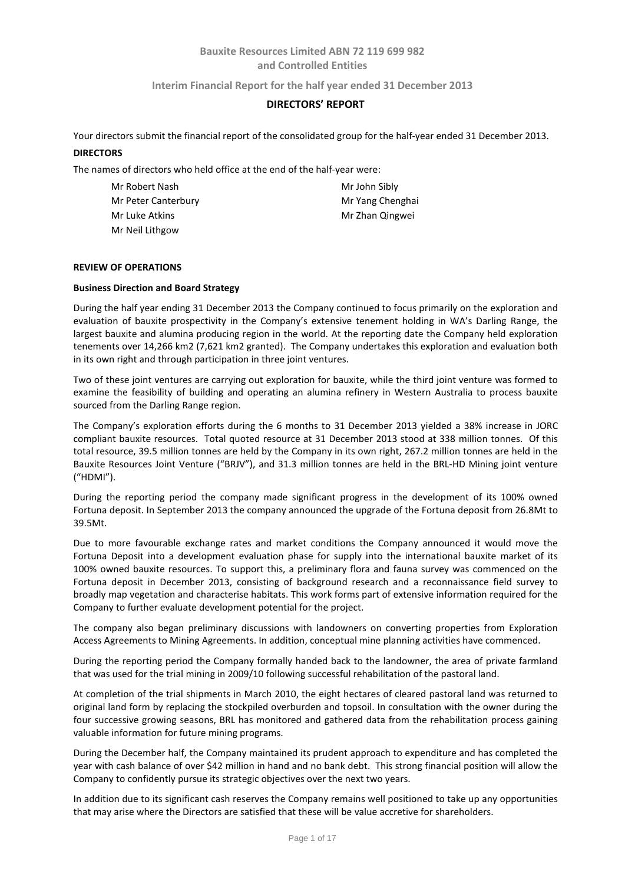**Interim Financial Report for the half year ended 31 December 2013**

## **DIRECTORS' REPORT**

Your directors submit the financial report of the consolidated group for the half-year ended 31 December 2013. **DIRECTORS**

The names of directors who held office at the end of the half-year were:

| Mr Robert Nash      | Mr John Sibly    |
|---------------------|------------------|
| Mr Peter Canterbury | Mr Yang Chenghai |
| Mr Luke Atkins      | Mr Zhan Qingwei  |
| Mr Neil Lithgow     |                  |

#### **REVIEW OF OPERATIONS**

#### **Business Direction and Board Strategy**

During the half year ending 31 December 2013 the Company continued to focus primarily on the exploration and evaluation of bauxite prospectivity in the Company's extensive tenement holding in WA's Darling Range, the largest bauxite and alumina producing region in the world. At the reporting date the Company held exploration tenements over 14,266 km2 (7,621 km2 granted). The Company undertakes this exploration and evaluation both in its own right and through participation in three joint ventures.

Two of these joint ventures are carrying out exploration for bauxite, while the third joint venture was formed to examine the feasibility of building and operating an alumina refinery in Western Australia to process bauxite sourced from the Darling Range region.

The Company's exploration efforts during the 6 months to 31 December 2013 yielded a 38% increase in JORC compliant bauxite resources. Total quoted resource at 31 December 2013 stood at 338 million tonnes. Of this total resource, 39.5 million tonnes are held by the Company in its own right, 267.2 million tonnes are held in the Bauxite Resources Joint Venture ("BRJV"), and 31.3 million tonnes are held in the BRL-HD Mining joint venture ("HDMI").

During the reporting period the company made significant progress in the development of its 100% owned Fortuna deposit. In September 2013 the company announced the upgrade of the Fortuna deposit from 26.8Mt to 39.5Mt.

Due to more favourable exchange rates and market conditions the Company announced it would move the Fortuna Deposit into a development evaluation phase for supply into the international bauxite market of its 100% owned bauxite resources. To support this, a preliminary flora and fauna survey was commenced on the Fortuna deposit in December 2013, consisting of background research and a reconnaissance field survey to broadly map vegetation and characterise habitats. This work forms part of extensive information required for the Company to further evaluate development potential for the project.

The company also began preliminary discussions with landowners on converting properties from Exploration Access Agreements to Mining Agreements. In addition, conceptual mine planning activities have commenced.

During the reporting period the Company formally handed back to the landowner, the area of private farmland that was used for the trial mining in 2009/10 following successful rehabilitation of the pastoral land.

At completion of the trial shipments in March 2010, the eight hectares of cleared pastoral land was returned to original land form by replacing the stockpiled overburden and topsoil. In consultation with the owner during the four successive growing seasons, BRL has monitored and gathered data from the rehabilitation process gaining valuable information for future mining programs.

During the December half, the Company maintained its prudent approach to expenditure and has completed the year with cash balance of over \$42 million in hand and no bank debt. This strong financial position will allow the Company to confidently pursue its strategic objectives over the next two years.

In addition due to its significant cash reserves the Company remains well positioned to take up any opportunities that may arise where the Directors are satisfied that these will be value accretive for shareholders.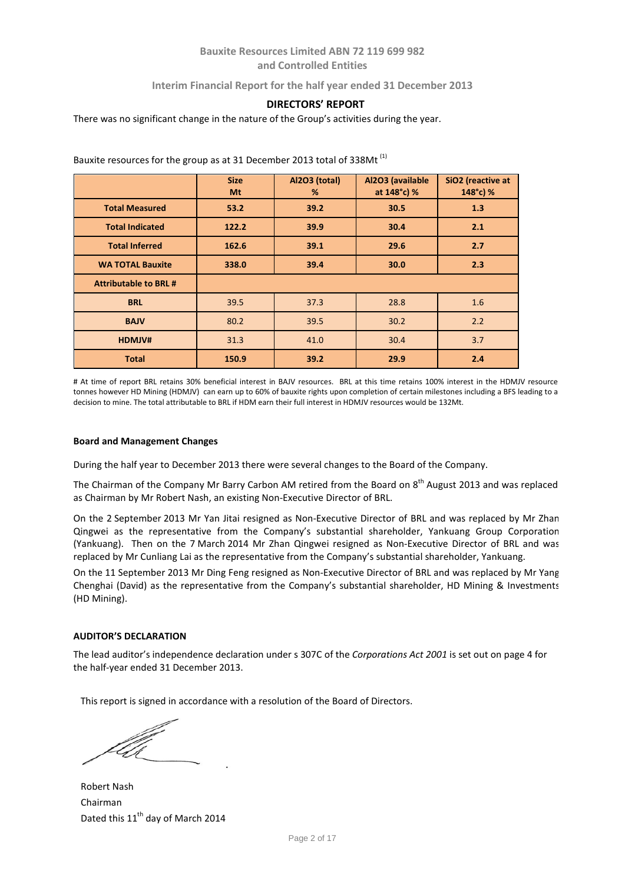## **Interim Financial Report for the half year ended 31 December 2013**

### **DIRECTORS' REPORT**

There was no significant change in the nature of the Group's activities during the year.

|                              | <b>Size</b><br>Mt | Al2O3 (total)<br>% | Al2O3 (available<br>at 148°c) % | SiO2 (reactive at<br>148°c) % |
|------------------------------|-------------------|--------------------|---------------------------------|-------------------------------|
| <b>Total Measured</b>        | 53.2              | 39.2               | 30.5                            | 1.3                           |
| <b>Total Indicated</b>       | 122.2             | 39.9               | 30.4                            | 2.1                           |
| <b>Total Inferred</b>        | 162.6             | 39.1               | 29.6                            | 2.7                           |
| <b>WA TOTAL Bauxite</b>      | 338.0             | 39.4               | 30.0                            | 2.3                           |
| <b>Attributable to BRL #</b> |                   |                    |                                 |                               |
| <b>BRL</b>                   | 39.5              | 37.3               | 28.8                            | 1.6                           |
| <b>BAJV</b>                  | 80.2              | 39.5               | 30.2                            | 2.2                           |
| HDMJV#                       | 31.3              | 41.0               | 30.4                            | 3.7                           |
| <b>Total</b>                 | 150.9             | 39.2               | 29.9                            | 2.4                           |

Bauxite resources for the group as at 31 December 2013 total of 338Mt (1)

# At time of report BRL retains 30% beneficial interest in BAJV resources. BRL at this time retains 100% interest in the HDMJV resource tonnes however HD Mining (HDMJV) can earn up to 60% of bauxite rights upon completion of certain milestones including a BFS leading to a decision to mine. The total attributable to BRL if HDM earn their full interest in HDMJV resources would be 132Mt.

#### **Board and Management Changes**

During the half year to December 2013 there were several changes to the Board of the Company.

The Chairman of the Company Mr Barry Carbon AM retired from the Board on 8<sup>th</sup> August 2013 and was replaced as Chairman by Mr Robert Nash, an existing Non-Executive Director of BRL.

On the 2 September 2013 Mr Yan Jitai resigned as Non-Executive Director of BRL and was replaced by Mr Zhan Qingwei as the representative from the Company's substantial shareholder, Yankuang Group Corporation (Yankuang). Then on the 7 March 2014 Mr Zhan Qingwei resigned as Non-Executive Director of BRL and was replaced by Mr Cunliang Lai as the representative from the Company's substantial shareholder, Yankuang.

On the 11 September 2013 Mr Ding Feng resigned as Non-Executive Director of BRL and was replaced by Mr Yang Chenghai (David) as the representative from the Company's substantial shareholder, HD Mining & Investments (HD Mining).

### **AUDITOR'S DECLARATION**

The lead auditor's independence declaration under s 307C of the *Corporations Act 2001* is set out on page 4 for the half-year ended 31 December 2013.

This report is signed in accordance with a resolution of the Board of Directors.

Robert Nash Chairman Dated this 11<sup>th</sup> day of March 2014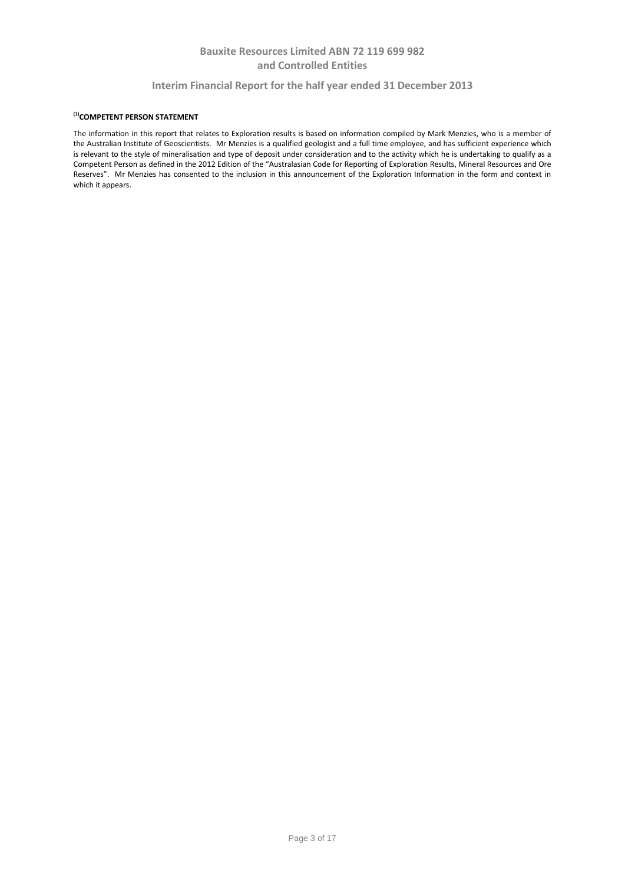### **Interim Financial Report for the half year ended 31 December 2013**

### **(1)COMPETENT PERSON STATEMENT**

The information in this report that relates to Exploration results is based on information compiled by Mark Menzies, who is a member of the Australian Institute of Geoscientists. Mr Menzies is a qualified geologist and a full time employee, and has sufficient experience which is relevant to the style of mineralisation and type of deposit under consideration and to the activity which he is undertaking to qualify as a Competent Person as defined in the 2012 Edition of the "Australasian Code for Reporting of Exploration Results, Mineral Resources and Ore Reserves". Mr Menzies has consented to the inclusion in this announcement of the Exploration Information in the form and context in which it appears.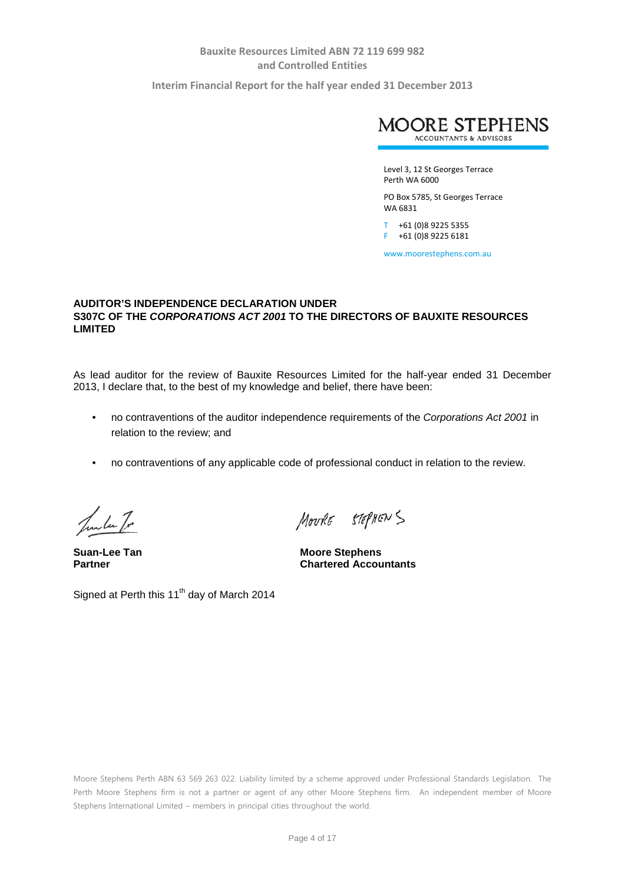**Interim Financial Report for the half year ended 31 December 2013**



Level 3, 12 St Georges Terrace Perth WA 6000

PO Box 5785, St Georges Terrace WA 6831

T +61 (0)8 9225 5355 F +61 (0)8 9225 6181

www.moorestephens.com.au

## **AUDITOR'S INDEPENDENCE DECLARATION UNDER S307C OF THE** *CORPORATIONS ACT 2001* **TO THE DIRECTORS OF BAUXITE RESOURCES LIMITED**

As lead auditor for the review of Bauxite Resources Limited for the half-year ended 31 December 2013, I declare that, to the best of my knowledge and belief, there have been:

- no contraventions of the auditor independence requirements of the *Corporations Act 2001* in relation to the review; and
- no contraventions of any applicable code of professional conduct in relation to the review.

Jula Tr

Signed at Perth this 11<sup>th</sup> day of March 2014

MOURE STEPHENS

**Suan-Lee Tan Moore Stephens**<br> **Partner Moore Stephens Chartered Accountants** 

Moore Stephens Perth ABN 63 569 263 022. Liability limited by a scheme approved under Professional Standards Legislation. The Perth Moore Stephens firm is not a partner or agent of any other Moore Stephens firm. An independent member of Moore Stephens International Limited – members in principal cities throughout the world.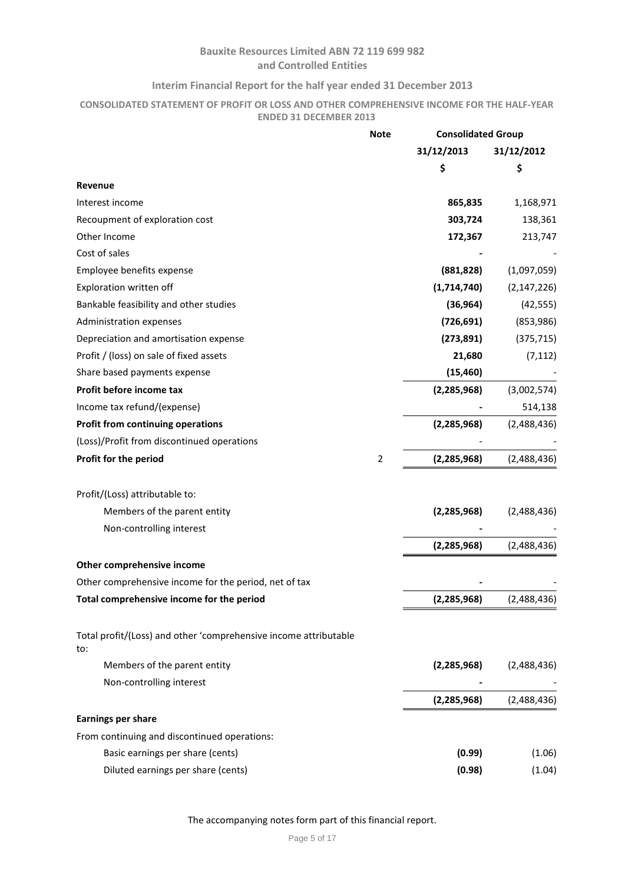## **Interim Financial Report for the half year ended 31 December 2013**

## **CONSOLIDATED STATEMENT OF PROFIT OR LOSS AND OTHER COMPREHENSIVE INCOME FOR THE HALF-YEAR ENDED 31 DECEMBER 2013**

| 31/12/2013<br>31/12/2012<br>\$<br>\$<br>Revenue<br>Interest income<br>865,835<br>1,168,971<br>Recoupment of exploration cost<br>303,724<br>138,361<br>Other Income<br>172,367<br>213,747<br>Cost of sales<br>Employee benefits expense<br>(881, 828)<br>(1,097,059)<br>Exploration written off<br>(1,714,740)<br>(2, 147, 226)<br>Bankable feasibility and other studies<br>(42, 555)<br>(36, 964)<br>(726, 691)<br>Administration expenses<br>(853, 986)<br>Depreciation and amortisation expense<br>(273, 891)<br>(375, 715)<br>Profit / (loss) on sale of fixed assets<br>(7, 112)<br>21,680<br>Share based payments expense<br>(15, 460)<br>Profit before income tax<br>(2, 285, 968)<br>(3,002,574)<br>Income tax refund/(expense)<br>514,138<br><b>Profit from continuing operations</b><br>(2, 285, 968)<br>(2,488,436)<br>(Loss)/Profit from discontinued operations<br>Profit for the period<br>$\overline{2}$<br>(2, 285, 968)<br>(2,488,436)<br>Profit/(Loss) attributable to:<br>Members of the parent entity<br>(2, 285, 968)<br>(2,488,436)<br>Non-controlling interest<br>(2, 285, 968)<br>(2,488,436)<br>Other comprehensive income<br>Other comprehensive income for the period, net of tax<br>Total comprehensive income for the period<br>(2,285,968)<br>(2,488,436)<br>Total profit/(Loss) and other 'comprehensive income attributable<br>to:<br>Members of the parent entity<br>(2, 285, 968)<br>(2,488,436)<br>Non-controlling interest<br>(2, 285, 968)<br>(2,488,436)<br><b>Earnings per share</b><br>From continuing and discontinued operations:<br>Basic earnings per share (cents)<br>(0.99)<br>(1.06)<br>Diluted earnings per share (cents)<br>(0.98)<br>(1.04) | <b>Note</b> | <b>Consolidated Group</b> |  |
|-----------------------------------------------------------------------------------------------------------------------------------------------------------------------------------------------------------------------------------------------------------------------------------------------------------------------------------------------------------------------------------------------------------------------------------------------------------------------------------------------------------------------------------------------------------------------------------------------------------------------------------------------------------------------------------------------------------------------------------------------------------------------------------------------------------------------------------------------------------------------------------------------------------------------------------------------------------------------------------------------------------------------------------------------------------------------------------------------------------------------------------------------------------------------------------------------------------------------------------------------------------------------------------------------------------------------------------------------------------------------------------------------------------------------------------------------------------------------------------------------------------------------------------------------------------------------------------------------------------------------------------------------------------------------------------------------|-------------|---------------------------|--|
|                                                                                                                                                                                                                                                                                                                                                                                                                                                                                                                                                                                                                                                                                                                                                                                                                                                                                                                                                                                                                                                                                                                                                                                                                                                                                                                                                                                                                                                                                                                                                                                                                                                                                               |             |                           |  |
|                                                                                                                                                                                                                                                                                                                                                                                                                                                                                                                                                                                                                                                                                                                                                                                                                                                                                                                                                                                                                                                                                                                                                                                                                                                                                                                                                                                                                                                                                                                                                                                                                                                                                               |             |                           |  |
|                                                                                                                                                                                                                                                                                                                                                                                                                                                                                                                                                                                                                                                                                                                                                                                                                                                                                                                                                                                                                                                                                                                                                                                                                                                                                                                                                                                                                                                                                                                                                                                                                                                                                               |             |                           |  |
|                                                                                                                                                                                                                                                                                                                                                                                                                                                                                                                                                                                                                                                                                                                                                                                                                                                                                                                                                                                                                                                                                                                                                                                                                                                                                                                                                                                                                                                                                                                                                                                                                                                                                               |             |                           |  |
|                                                                                                                                                                                                                                                                                                                                                                                                                                                                                                                                                                                                                                                                                                                                                                                                                                                                                                                                                                                                                                                                                                                                                                                                                                                                                                                                                                                                                                                                                                                                                                                                                                                                                               |             |                           |  |
|                                                                                                                                                                                                                                                                                                                                                                                                                                                                                                                                                                                                                                                                                                                                                                                                                                                                                                                                                                                                                                                                                                                                                                                                                                                                                                                                                                                                                                                                                                                                                                                                                                                                                               |             |                           |  |
|                                                                                                                                                                                                                                                                                                                                                                                                                                                                                                                                                                                                                                                                                                                                                                                                                                                                                                                                                                                                                                                                                                                                                                                                                                                                                                                                                                                                                                                                                                                                                                                                                                                                                               |             |                           |  |
|                                                                                                                                                                                                                                                                                                                                                                                                                                                                                                                                                                                                                                                                                                                                                                                                                                                                                                                                                                                                                                                                                                                                                                                                                                                                                                                                                                                                                                                                                                                                                                                                                                                                                               |             |                           |  |
|                                                                                                                                                                                                                                                                                                                                                                                                                                                                                                                                                                                                                                                                                                                                                                                                                                                                                                                                                                                                                                                                                                                                                                                                                                                                                                                                                                                                                                                                                                                                                                                                                                                                                               |             |                           |  |
|                                                                                                                                                                                                                                                                                                                                                                                                                                                                                                                                                                                                                                                                                                                                                                                                                                                                                                                                                                                                                                                                                                                                                                                                                                                                                                                                                                                                                                                                                                                                                                                                                                                                                               |             |                           |  |
|                                                                                                                                                                                                                                                                                                                                                                                                                                                                                                                                                                                                                                                                                                                                                                                                                                                                                                                                                                                                                                                                                                                                                                                                                                                                                                                                                                                                                                                                                                                                                                                                                                                                                               |             |                           |  |
|                                                                                                                                                                                                                                                                                                                                                                                                                                                                                                                                                                                                                                                                                                                                                                                                                                                                                                                                                                                                                                                                                                                                                                                                                                                                                                                                                                                                                                                                                                                                                                                                                                                                                               |             |                           |  |
|                                                                                                                                                                                                                                                                                                                                                                                                                                                                                                                                                                                                                                                                                                                                                                                                                                                                                                                                                                                                                                                                                                                                                                                                                                                                                                                                                                                                                                                                                                                                                                                                                                                                                               |             |                           |  |
|                                                                                                                                                                                                                                                                                                                                                                                                                                                                                                                                                                                                                                                                                                                                                                                                                                                                                                                                                                                                                                                                                                                                                                                                                                                                                                                                                                                                                                                                                                                                                                                                                                                                                               |             |                           |  |
|                                                                                                                                                                                                                                                                                                                                                                                                                                                                                                                                                                                                                                                                                                                                                                                                                                                                                                                                                                                                                                                                                                                                                                                                                                                                                                                                                                                                                                                                                                                                                                                                                                                                                               |             |                           |  |
|                                                                                                                                                                                                                                                                                                                                                                                                                                                                                                                                                                                                                                                                                                                                                                                                                                                                                                                                                                                                                                                                                                                                                                                                                                                                                                                                                                                                                                                                                                                                                                                                                                                                                               |             |                           |  |
|                                                                                                                                                                                                                                                                                                                                                                                                                                                                                                                                                                                                                                                                                                                                                                                                                                                                                                                                                                                                                                                                                                                                                                                                                                                                                                                                                                                                                                                                                                                                                                                                                                                                                               |             |                           |  |
|                                                                                                                                                                                                                                                                                                                                                                                                                                                                                                                                                                                                                                                                                                                                                                                                                                                                                                                                                                                                                                                                                                                                                                                                                                                                                                                                                                                                                                                                                                                                                                                                                                                                                               |             |                           |  |
|                                                                                                                                                                                                                                                                                                                                                                                                                                                                                                                                                                                                                                                                                                                                                                                                                                                                                                                                                                                                                                                                                                                                                                                                                                                                                                                                                                                                                                                                                                                                                                                                                                                                                               |             |                           |  |
|                                                                                                                                                                                                                                                                                                                                                                                                                                                                                                                                                                                                                                                                                                                                                                                                                                                                                                                                                                                                                                                                                                                                                                                                                                                                                                                                                                                                                                                                                                                                                                                                                                                                                               |             |                           |  |
|                                                                                                                                                                                                                                                                                                                                                                                                                                                                                                                                                                                                                                                                                                                                                                                                                                                                                                                                                                                                                                                                                                                                                                                                                                                                                                                                                                                                                                                                                                                                                                                                                                                                                               |             |                           |  |
|                                                                                                                                                                                                                                                                                                                                                                                                                                                                                                                                                                                                                                                                                                                                                                                                                                                                                                                                                                                                                                                                                                                                                                                                                                                                                                                                                                                                                                                                                                                                                                                                                                                                                               |             |                           |  |
|                                                                                                                                                                                                                                                                                                                                                                                                                                                                                                                                                                                                                                                                                                                                                                                                                                                                                                                                                                                                                                                                                                                                                                                                                                                                                                                                                                                                                                                                                                                                                                                                                                                                                               |             |                           |  |
|                                                                                                                                                                                                                                                                                                                                                                                                                                                                                                                                                                                                                                                                                                                                                                                                                                                                                                                                                                                                                                                                                                                                                                                                                                                                                                                                                                                                                                                                                                                                                                                                                                                                                               |             |                           |  |
|                                                                                                                                                                                                                                                                                                                                                                                                                                                                                                                                                                                                                                                                                                                                                                                                                                                                                                                                                                                                                                                                                                                                                                                                                                                                                                                                                                                                                                                                                                                                                                                                                                                                                               |             |                           |  |
|                                                                                                                                                                                                                                                                                                                                                                                                                                                                                                                                                                                                                                                                                                                                                                                                                                                                                                                                                                                                                                                                                                                                                                                                                                                                                                                                                                                                                                                                                                                                                                                                                                                                                               |             |                           |  |
|                                                                                                                                                                                                                                                                                                                                                                                                                                                                                                                                                                                                                                                                                                                                                                                                                                                                                                                                                                                                                                                                                                                                                                                                                                                                                                                                                                                                                                                                                                                                                                                                                                                                                               |             |                           |  |
|                                                                                                                                                                                                                                                                                                                                                                                                                                                                                                                                                                                                                                                                                                                                                                                                                                                                                                                                                                                                                                                                                                                                                                                                                                                                                                                                                                                                                                                                                                                                                                                                                                                                                               |             |                           |  |
|                                                                                                                                                                                                                                                                                                                                                                                                                                                                                                                                                                                                                                                                                                                                                                                                                                                                                                                                                                                                                                                                                                                                                                                                                                                                                                                                                                                                                                                                                                                                                                                                                                                                                               |             |                           |  |
|                                                                                                                                                                                                                                                                                                                                                                                                                                                                                                                                                                                                                                                                                                                                                                                                                                                                                                                                                                                                                                                                                                                                                                                                                                                                                                                                                                                                                                                                                                                                                                                                                                                                                               |             |                           |  |
|                                                                                                                                                                                                                                                                                                                                                                                                                                                                                                                                                                                                                                                                                                                                                                                                                                                                                                                                                                                                                                                                                                                                                                                                                                                                                                                                                                                                                                                                                                                                                                                                                                                                                               |             |                           |  |
|                                                                                                                                                                                                                                                                                                                                                                                                                                                                                                                                                                                                                                                                                                                                                                                                                                                                                                                                                                                                                                                                                                                                                                                                                                                                                                                                                                                                                                                                                                                                                                                                                                                                                               |             |                           |  |
|                                                                                                                                                                                                                                                                                                                                                                                                                                                                                                                                                                                                                                                                                                                                                                                                                                                                                                                                                                                                                                                                                                                                                                                                                                                                                                                                                                                                                                                                                                                                                                                                                                                                                               |             |                           |  |
|                                                                                                                                                                                                                                                                                                                                                                                                                                                                                                                                                                                                                                                                                                                                                                                                                                                                                                                                                                                                                                                                                                                                                                                                                                                                                                                                                                                                                                                                                                                                                                                                                                                                                               |             |                           |  |

The accompanying notes form part of this financial report.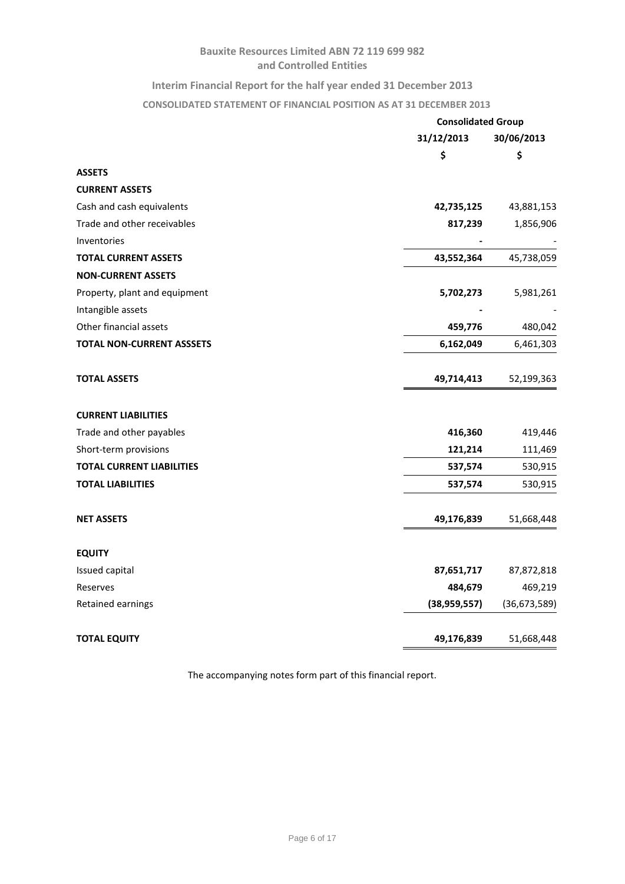# **Interim Financial Report for the half year ended 31 December 2013**

# **CONSOLIDATED STATEMENT OF FINANCIAL POSITION AS AT 31 DECEMBER 2013**

|                                  | <b>Consolidated Group</b> |                |  |
|----------------------------------|---------------------------|----------------|--|
|                                  | 31/12/2013                | 30/06/2013     |  |
|                                  | \$                        | \$             |  |
| <b>ASSETS</b>                    |                           |                |  |
| <b>CURRENT ASSETS</b>            |                           |                |  |
| Cash and cash equivalents        | 42,735,125                | 43,881,153     |  |
| Trade and other receivables      | 817,239                   | 1,856,906      |  |
| Inventories                      |                           |                |  |
| <b>TOTAL CURRENT ASSETS</b>      | 43,552,364                | 45,738,059     |  |
| <b>NON-CURRENT ASSETS</b>        |                           |                |  |
| Property, plant and equipment    | 5,702,273                 | 5,981,261      |  |
| Intangible assets                |                           |                |  |
| Other financial assets           | 459,776                   | 480,042        |  |
| <b>TOTAL NON-CURRENT ASSSETS</b> | 6,162,049                 | 6,461,303      |  |
| <b>TOTAL ASSETS</b>              | 49,714,413                | 52,199,363     |  |
| <b>CURRENT LIABILITIES</b>       |                           |                |  |
| Trade and other payables         | 416,360                   | 419,446        |  |
| Short-term provisions            | 121,214                   | 111,469        |  |
| <b>TOTAL CURRENT LIABILITIES</b> | 537,574                   | 530,915        |  |
| <b>TOTAL LIABILITIES</b>         | 537,574                   | 530,915        |  |
| <b>NET ASSETS</b>                | 49,176,839                | 51,668,448     |  |
| <b>EQUITY</b>                    |                           |                |  |
| Issued capital                   | 87,651,717                | 87,872,818     |  |
| Reserves                         | 484,679                   | 469,219        |  |
| Retained earnings                | (38,959,557)              | (36, 673, 589) |  |
| <b>TOTAL EQUITY</b>              | 49,176,839                | 51,668,448     |  |

The accompanying notes form part of this financial report.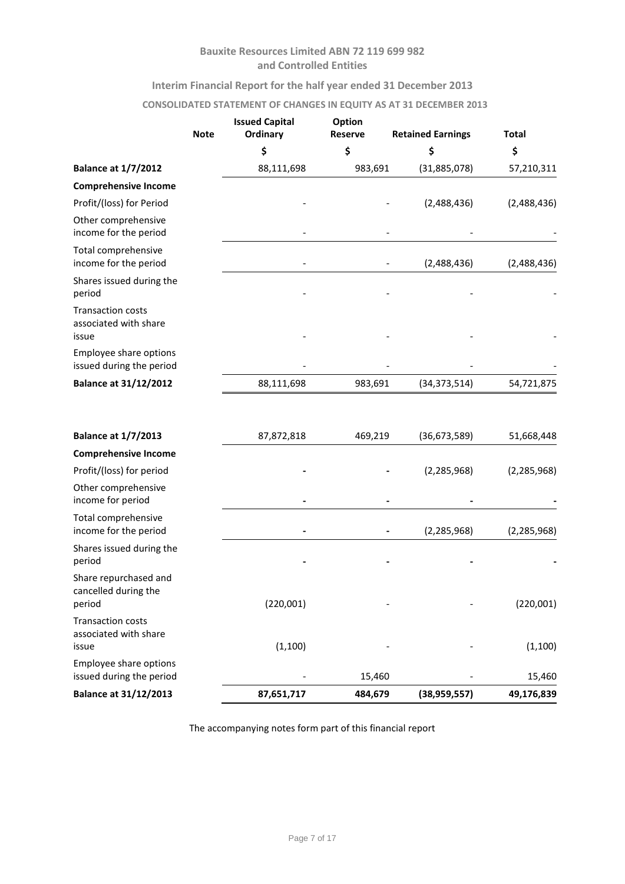# **Interim Financial Report for the half year ended 31 December 2013**

### **CONSOLIDATED STATEMENT OF CHANGES IN EQUITY AS AT 31 DECEMBER 2013**

|                                                            | <b>Note</b> | <b>Issued Capital</b><br>Ordinary | Option<br><b>Reserve</b> | <b>Retained Earnings</b> | <b>Total</b>  |
|------------------------------------------------------------|-------------|-----------------------------------|--------------------------|--------------------------|---------------|
|                                                            |             | \$                                | \$                       | \$                       | \$            |
| <b>Balance at 1/7/2012</b>                                 |             | 88,111,698                        | 983,691                  | (31,885,078)             | 57,210,311    |
| <b>Comprehensive Income</b>                                |             |                                   |                          |                          |               |
| Profit/(loss) for Period                                   |             |                                   |                          | (2,488,436)              | (2,488,436)   |
| Other comprehensive<br>income for the period               |             |                                   |                          |                          |               |
| Total comprehensive<br>income for the period               |             |                                   |                          | (2,488,436)              | (2,488,436)   |
| Shares issued during the<br>period                         |             |                                   |                          |                          |               |
| <b>Transaction costs</b><br>associated with share<br>issue |             |                                   |                          |                          |               |
| Employee share options<br>issued during the period         |             |                                   |                          |                          |               |
| <b>Balance at 31/12/2012</b>                               |             | 88,111,698                        | 983,691                  | (34, 373, 514)           | 54,721,875    |
| <b>Balance at 1/7/2013</b>                                 |             | 87,872,818                        | 469,219                  | (36, 673, 589)           | 51,668,448    |
| <b>Comprehensive Income</b>                                |             |                                   |                          |                          |               |
| Profit/(loss) for period                                   |             |                                   |                          | (2, 285, 968)            | (2, 285, 968) |
| Other comprehensive<br>income for period                   |             |                                   |                          |                          |               |
| Total comprehensive<br>income for the period               |             |                                   |                          | (2, 285, 968)            | (2, 285, 968) |
| Shares issued during the<br>period                         |             |                                   |                          |                          |               |
| Share repurchased and<br>cancelled during the<br>period    |             | (220,001)                         |                          |                          | (220,001)     |
| <b>Transaction costs</b><br>associated with share<br>issue |             | (1, 100)                          |                          |                          | (1, 100)      |
| Employee share options<br>issued during the period         |             |                                   | 15,460                   |                          | 15,460        |
| <b>Balance at 31/12/2013</b>                               |             | 87,651,717                        | 484,679                  | (38, 959, 557)           | 49,176,839    |

The accompanying notes form part of this financial report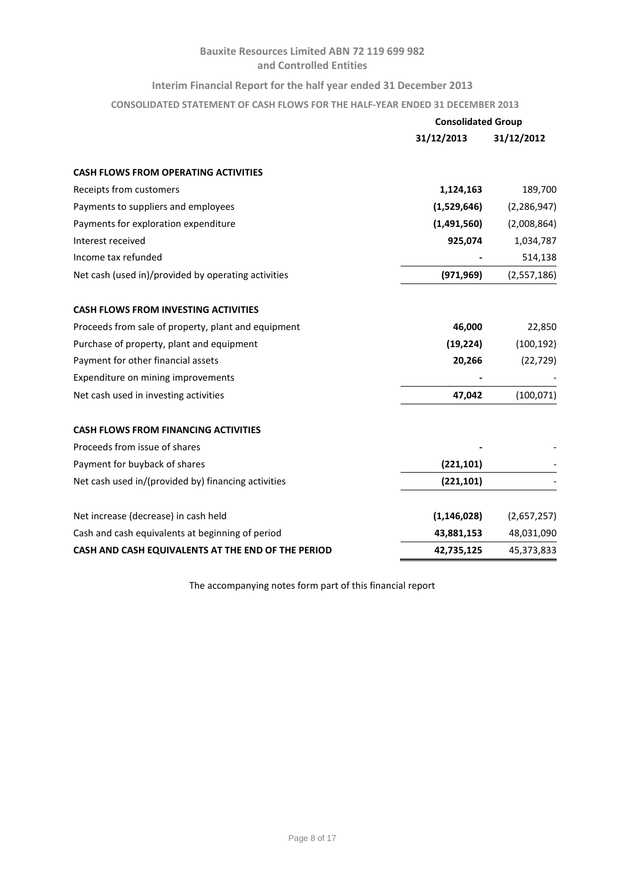### **Interim Financial Report for the half year ended 31 December 2013**

**CONSOLIDATED STATEMENT OF CASH FLOWS FOR THE HALF-YEAR ENDED 31 DECEMBER 2013**

|                                                     | <b>Consolidated Group</b> |               |
|-----------------------------------------------------|---------------------------|---------------|
|                                                     | 31/12/2013                | 31/12/2012    |
| <b>CASH FLOWS FROM OPERATING ACTIVITIES</b>         |                           |               |
| Receipts from customers                             | 1,124,163                 | 189,700       |
| Payments to suppliers and employees                 | (1,529,646)               | (2, 286, 947) |
| Payments for exploration expenditure                | (1,491,560)               | (2,008,864)   |
| Interest received                                   | 925,074                   | 1,034,787     |
| Income tax refunded                                 |                           | 514,138       |
| Net cash (used in)/provided by operating activities | (971, 969)                | (2,557,186)   |
| <b>CASH FLOWS FROM INVESTING ACTIVITIES</b>         |                           |               |
| Proceeds from sale of property, plant and equipment | 46,000                    | 22,850        |
| Purchase of property, plant and equipment           | (19, 224)                 | (100, 192)    |
| Payment for other financial assets                  | 20,266                    | (22, 729)     |
| Expenditure on mining improvements                  |                           |               |
| Net cash used in investing activities               | 47,042                    | (100, 071)    |
| <b>CASH FLOWS FROM FINANCING ACTIVITIES</b>         |                           |               |
| Proceeds from issue of shares                       |                           |               |
| Payment for buyback of shares                       | (221, 101)                |               |
| Net cash used in/(provided by) financing activities | (221, 101)                |               |
| Net increase (decrease) in cash held                | (1, 146, 028)             | (2,657,257)   |
| Cash and cash equivalents at beginning of period    | 43,881,153                | 48,031,090    |
| CASH AND CASH EQUIVALENTS AT THE END OF THE PERIOD  | 42,735,125                | 45,373,833    |

The accompanying notes form part of this financial report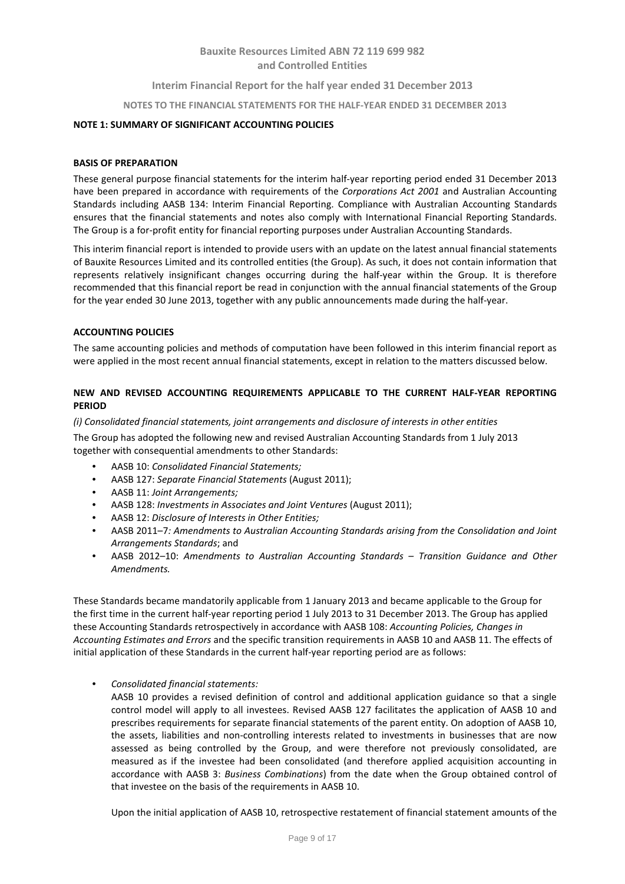### **Interim Financial Report for the half year ended 31 December 2013**

#### **NOTES TO THE FINANCIAL STATEMENTS FOR THE HALF-YEAR ENDED 31 DECEMBER 2013**

### **NOTE 1: SUMMARY OF SIGNIFICANT ACCOUNTING POLICIES**

#### **BASIS OF PREPARATION**

These general purpose financial statements for the interim half-year reporting period ended 31 December 2013 have been prepared in accordance with requirements of the *Corporations Act 2001* and Australian Accounting Standards including AASB 134: Interim Financial Reporting. Compliance with Australian Accounting Standards ensures that the financial statements and notes also comply with International Financial Reporting Standards. The Group is a for-profit entity for financial reporting purposes under Australian Accounting Standards.

This interim financial report is intended to provide users with an update on the latest annual financial statements of Bauxite Resources Limited and its controlled entities (the Group). As such, it does not contain information that represents relatively insignificant changes occurring during the half-year within the Group. It is therefore recommended that this financial report be read in conjunction with the annual financial statements of the Group for the year ended 30 June 2013, together with any public announcements made during the half-year.

#### **ACCOUNTING POLICIES**

The same accounting policies and methods of computation have been followed in this interim financial report as were applied in the most recent annual financial statements, except in relation to the matters discussed below.

### **NEW AND REVISED ACCOUNTING REQUIREMENTS APPLICABLE TO THE CURRENT HALF-YEAR REPORTING PERIOD**

#### *(i) Consolidated financial statements, joint arrangements and disclosure of interests in other entities*

The Group has adopted the following new and revised Australian Accounting Standards from 1 July 2013 together with consequential amendments to other Standards:

- AASB 10: *Consolidated Financial Statements;*
- AASB 127: *Separate Financial Statements* (August 2011);
- AASB 11: *Joint Arrangements;*
- AASB 128: *Investments in Associates and Joint Ventures* (August 2011);
- AASB 12: *Disclosure of Interests in Other Entities;*
- AASB 2011–7*: Amendments to Australian Accounting Standards arising from the Consolidation and Joint Arrangements Standards*; and
- AASB 2012–10: *Amendments to Australian Accounting Standards – Transition Guidance and Other Amendments.*

These Standards became mandatorily applicable from 1 January 2013 and became applicable to the Group for the first time in the current half-year reporting period 1 July 2013 to 31 December 2013. The Group has applied these Accounting Standards retrospectively in accordance with AASB 108: *Accounting Policies, Changes in Accounting Estimates and Errors* and the specific transition requirements in AASB 10 and AASB 11. The effects of initial application of these Standards in the current half-year reporting period are as follows:

- *Consolidated financial statements:*
	- AASB 10 provides a revised definition of control and additional application guidance so that a single control model will apply to all investees. Revised AASB 127 facilitates the application of AASB 10 and prescribes requirements for separate financial statements of the parent entity. On adoption of AASB 10, the assets, liabilities and non-controlling interests related to investments in businesses that are now assessed as being controlled by the Group, and were therefore not previously consolidated, are measured as if the investee had been consolidated (and therefore applied acquisition accounting in accordance with AASB 3: *Business Combinations*) from the date when the Group obtained control of that investee on the basis of the requirements in AASB 10.

Upon the initial application of AASB 10, retrospective restatement of financial statement amounts of the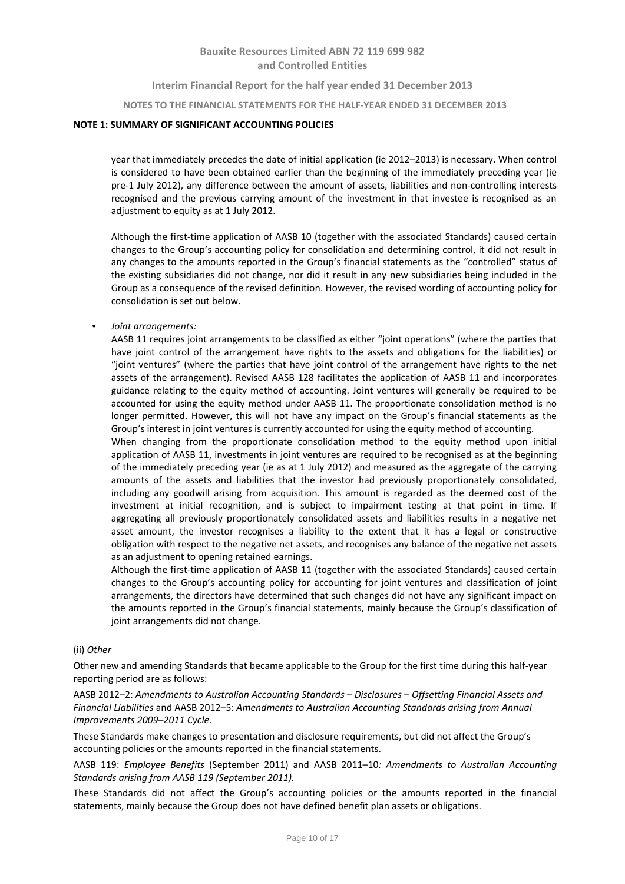**Interim Financial Report for the half year ended 31 December 2013**

**NOTES TO THE FINANCIAL STATEMENTS FOR THE HALF-YEAR ENDED 31 DECEMBER 2013**

### **NOTE 1: SUMMARY OF SIGNIFICANT ACCOUNTING POLICIES**

year that immediately precedes the date of initial application (ie 2012–2013) is necessary. When control is considered to have been obtained earlier than the beginning of the immediately preceding year (ie pre-1 July 2012), any difference between the amount of assets, liabilities and non-controlling interests recognised and the previous carrying amount of the investment in that investee is recognised as an adjustment to equity as at 1 July 2012.

Although the first-time application of AASB 10 (together with the associated Standards) caused certain changes to the Group's accounting policy for consolidation and determining control, it did not result in any changes to the amounts reported in the Group's financial statements as the "controlled" status of the existing subsidiaries did not change, nor did it result in any new subsidiaries being included in the Group as a consequence of the revised definition. However, the revised wording of accounting policy for consolidation is set out below.

• *Joint arrangements:*

AASB 11 requires joint arrangements to be classified as either "joint operations" (where the parties that have joint control of the arrangement have rights to the assets and obligations for the liabilities) or "joint ventures" (where the parties that have joint control of the arrangement have rights to the net assets of the arrangement). Revised AASB 128 facilitates the application of AASB 11 and incorporates guidance relating to the equity method of accounting. Joint ventures will generally be required to be accounted for using the equity method under AASB 11. The proportionate consolidation method is no longer permitted. However, this will not have any impact on the Group's financial statements as the Group's interest in joint ventures is currently accounted for using the equity method of accounting.

When changing from the proportionate consolidation method to the equity method upon initial application of AASB 11, investments in joint ventures are required to be recognised as at the beginning of the immediately preceding year (ie as at 1 July 2012) and measured as the aggregate of the carrying amounts of the assets and liabilities that the investor had previously proportionately consolidated, including any goodwill arising from acquisition. This amount is regarded as the deemed cost of the investment at initial recognition, and is subject to impairment testing at that point in time. If aggregating all previously proportionately consolidated assets and liabilities results in a negative net asset amount, the investor recognises a liability to the extent that it has a legal or constructive obligation with respect to the negative net assets, and recognises any balance of the negative net assets as an adjustment to opening retained earnings.

Although the first-time application of AASB 11 (together with the associated Standards) caused certain changes to the Group's accounting policy for accounting for joint ventures and classification of joint arrangements, the directors have determined that such changes did not have any significant impact on the amounts reported in the Group's financial statements, mainly because the Group's classification of joint arrangements did not change.

#### (ii) *Other*

Other new and amending Standards that became applicable to the Group for the first time during this half-year reporting period are as follows:

AASB 2012–2: *Amendments to Australian Accounting Standards – Disclosures – Offsetting Financial Assets and Financial Liabilities* and AASB 2012–5: *Amendments to Australian Accounting Standards arising from Annual Improvements 2009–2011 Cycle.*

These Standards make changes to presentation and disclosure requirements, but did not affect the Group's accounting policies or the amounts reported in the financial statements.

AASB 119: *Employee Benefits* (September 2011) and AASB 2011–10*: Amendments to Australian Accounting Standards arising from AASB 119 (September 2011).*

These Standards did not affect the Group's accounting policies or the amounts reported in the financial statements, mainly because the Group does not have defined benefit plan assets or obligations.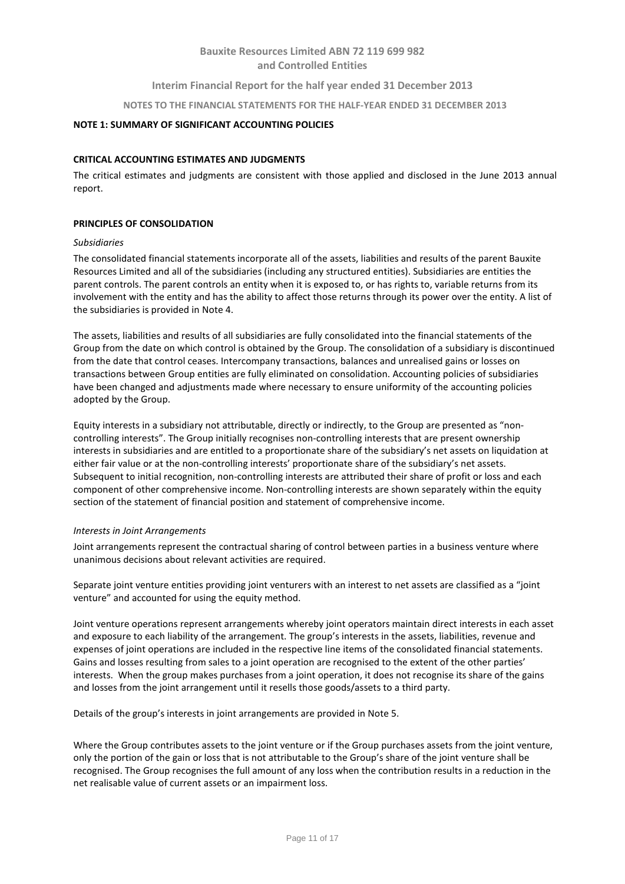## **Interim Financial Report for the half year ended 31 December 2013**

#### **NOTES TO THE FINANCIAL STATEMENTS FOR THE HALF-YEAR ENDED 31 DECEMBER 2013**

#### **NOTE 1: SUMMARY OF SIGNIFICANT ACCOUNTING POLICIES**

#### **CRITICAL ACCOUNTING ESTIMATES AND JUDGMENTS**

The critical estimates and judgments are consistent with those applied and disclosed in the June 2013 annual report.

#### **PRINCIPLES OF CONSOLIDATION**

#### *Subsidiaries*

The consolidated financial statements incorporate all of the assets, liabilities and results of the parent Bauxite Resources Limited and all of the subsidiaries (including any structured entities). Subsidiaries are entities the parent controls. The parent controls an entity when it is exposed to, or has rights to, variable returns from its involvement with the entity and has the ability to affect those returns through its power over the entity. A list of the subsidiaries is provided in Note 4.

The assets, liabilities and results of all subsidiaries are fully consolidated into the financial statements of the Group from the date on which control is obtained by the Group. The consolidation of a subsidiary is discontinued from the date that control ceases. Intercompany transactions, balances and unrealised gains or losses on transactions between Group entities are fully eliminated on consolidation. Accounting policies of subsidiaries have been changed and adjustments made where necessary to ensure uniformity of the accounting policies adopted by the Group.

Equity interests in a subsidiary not attributable, directly or indirectly, to the Group are presented as "noncontrolling interests". The Group initially recognises non-controlling interests that are present ownership interests in subsidiaries and are entitled to a proportionate share of the subsidiary's net assets on liquidation at either fair value or at the non-controlling interests' proportionate share of the subsidiary's net assets. Subsequent to initial recognition, non-controlling interests are attributed their share of profit or loss and each component of other comprehensive income. Non-controlling interests are shown separately within the equity section of the statement of financial position and statement of comprehensive income.

#### *Interests in Joint Arrangements*

Joint arrangements represent the contractual sharing of control between parties in a business venture where unanimous decisions about relevant activities are required.

Separate joint venture entities providing joint venturers with an interest to net assets are classified as a "joint venture" and accounted for using the equity method.

Joint venture operations represent arrangements whereby joint operators maintain direct interests in each asset and exposure to each liability of the arrangement. The group's interests in the assets, liabilities, revenue and expenses of joint operations are included in the respective line items of the consolidated financial statements. Gains and losses resulting from sales to a joint operation are recognised to the extent of the other parties' interests. When the group makes purchases from a joint operation, it does not recognise its share of the gains and losses from the joint arrangement until it resells those goods/assets to a third party.

Details of the group's interests in joint arrangements are provided in Note 5.

Where the Group contributes assets to the joint venture or if the Group purchases assets from the joint venture, only the portion of the gain or loss that is not attributable to the Group's share of the joint venture shall be recognised. The Group recognises the full amount of any loss when the contribution results in a reduction in the net realisable value of current assets or an impairment loss.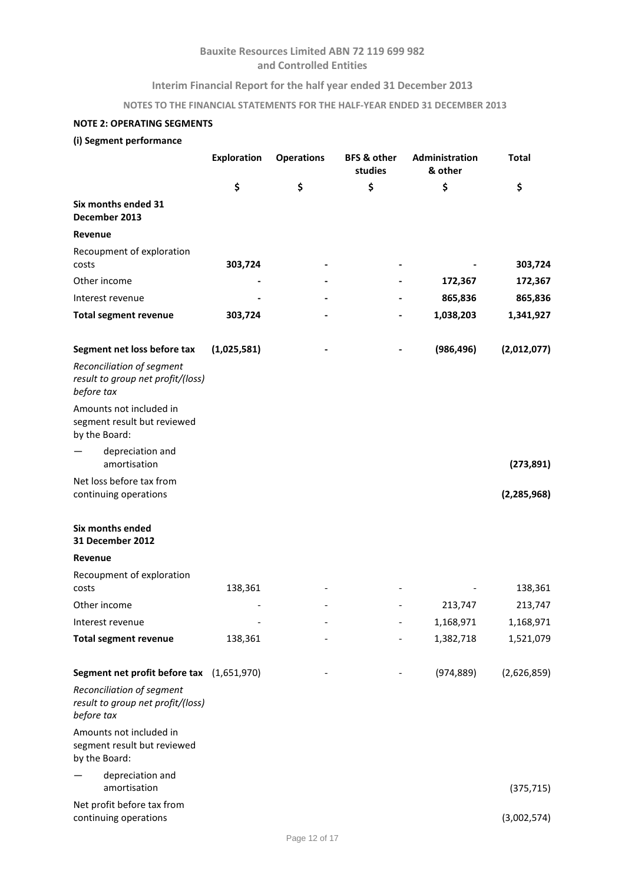## **Interim Financial Report for the half year ended 31 December 2013**

# **NOTES TO THE FINANCIAL STATEMENTS FOR THE HALF-YEAR ENDED 31 DECEMBER 2013**

# **NOTE 2: OPERATING SEGMENTS**

# **(i) Segment performance**

|                                                                              | <b>Exploration</b> | <b>Operations</b> | <b>BFS &amp; other</b><br>studies | Administration<br>& other | <b>Total</b>  |
|------------------------------------------------------------------------------|--------------------|-------------------|-----------------------------------|---------------------------|---------------|
|                                                                              | \$                 | \$                | \$                                | \$                        | \$            |
| Six months ended 31<br>December 2013                                         |                    |                   |                                   |                           |               |
| Revenue                                                                      |                    |                   |                                   |                           |               |
| Recoupment of exploration<br>costs                                           | 303,724            |                   |                                   |                           | 303,724       |
| Other income                                                                 |                    |                   |                                   | 172,367                   | 172,367       |
| Interest revenue                                                             |                    |                   |                                   | 865,836                   | 865,836       |
| <b>Total segment revenue</b>                                                 | 303,724            |                   |                                   | 1,038,203                 | 1,341,927     |
| Segment net loss before tax                                                  | (1,025,581)        |                   |                                   | (986, 496)                | (2,012,077)   |
| Reconciliation of segment<br>result to group net profit/(loss)<br>before tax |                    |                   |                                   |                           |               |
| Amounts not included in<br>segment result but reviewed<br>by the Board:      |                    |                   |                                   |                           |               |
| depreciation and<br>amortisation                                             |                    |                   |                                   |                           | (273, 891)    |
| Net loss before tax from<br>continuing operations                            |                    |                   |                                   |                           | (2, 285, 968) |
| Six months ended<br>31 December 2012                                         |                    |                   |                                   |                           |               |
| Revenue                                                                      |                    |                   |                                   |                           |               |
| Recoupment of exploration<br>costs                                           | 138,361            |                   |                                   |                           | 138,361       |
| Other income                                                                 |                    |                   |                                   | 213,747                   | 213,747       |
| Interest revenue                                                             |                    |                   |                                   | 1,168,971                 | 1,168,971     |
| <b>Total segment revenue</b>                                                 | 138,361            |                   |                                   | 1,382,718                 | 1,521,079     |
| Segment net profit before tax (1,651,970)                                    |                    |                   |                                   | (974, 889)                | (2,626,859)   |
| Reconciliation of segment<br>result to group net profit/(loss)<br>before tax |                    |                   |                                   |                           |               |
| Amounts not included in<br>segment result but reviewed<br>by the Board:      |                    |                   |                                   |                           |               |
| depreciation and<br>amortisation                                             |                    |                   |                                   |                           | (375, 715)    |
| Net profit before tax from<br>continuing operations                          |                    |                   |                                   |                           | (3,002,574)   |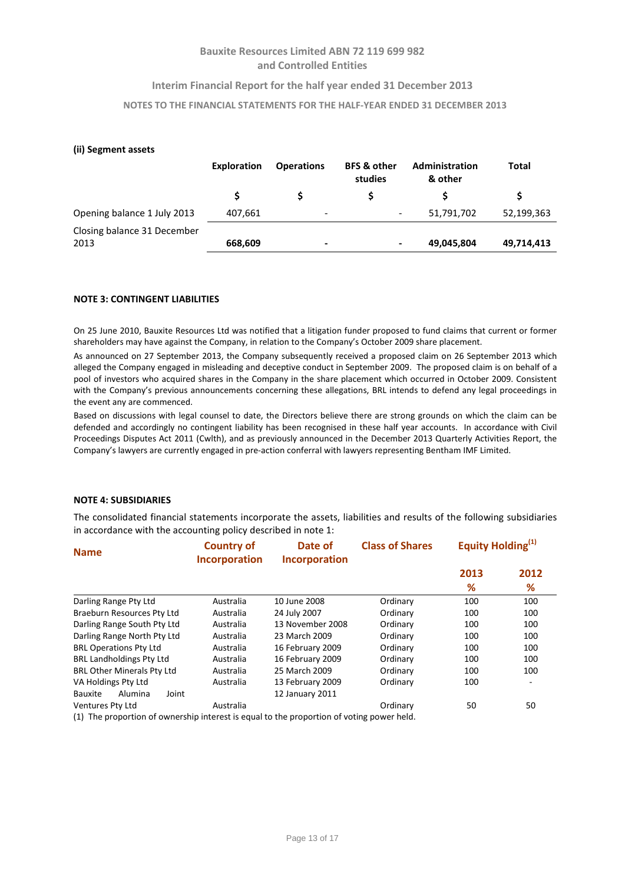### **Interim Financial Report for the half year ended 31 December 2013**

### **NOTES TO THE FINANCIAL STATEMENTS FOR THE HALF-YEAR ENDED 31 DECEMBER 2013**

#### **(ii) Segment assets**

|                                     | Exploration | <b>Operations</b>                                                                                                                                 | <b>BFS &amp; other</b><br>studies | Administration<br>& other | Total      |
|-------------------------------------|-------------|---------------------------------------------------------------------------------------------------------------------------------------------------|-----------------------------------|---------------------------|------------|
|                                     |             |                                                                                                                                                   |                                   |                           |            |
| Opening balance 1 July 2013         | 407,661     | $\overline{\phantom{a}}$                                                                                                                          | $\overline{\phantom{a}}$          | 51,791,702                | 52,199,363 |
| Closing balance 31 December<br>2013 | 668,609     | $\hskip1.6pt\hskip1.6pt\hskip1.6pt\hskip1.6pt\hskip1.6pt\hskip1.6pt\hskip1.6pt\hskip1.6pt\hskip1.6pt\hskip1.6pt\hskip1.6pt\hskip1.6pt\hskip1.6pt$ | ٠                                 | 49,045,804                | 49,714,413 |

#### **NOTE 3: CONTINGENT LIABILITIES**

On 25 June 2010, Bauxite Resources Ltd was notified that a litigation funder proposed to fund claims that current or former shareholders may have against the Company, in relation to the Company's October 2009 share placement.

As announced on 27 September 2013, the Company subsequently received a proposed claim on 26 September 2013 which alleged the Company engaged in misleading and deceptive conduct in September 2009. The proposed claim is on behalf of a pool of investors who acquired shares in the Company in the share placement which occurred in October 2009. Consistent with the Company's previous announcements concerning these allegations, BRL intends to defend any legal proceedings in the event any are commenced.

Based on discussions with legal counsel to date, the Directors believe there are strong grounds on which the claim can be defended and accordingly no contingent liability has been recognised in these half year accounts. In accordance with Civil Proceedings Disputes Act 2011 (Cwlth), and as previously announced in the December 2013 Quarterly Activities Report, the Company's lawyers are currently engaged in pre-action conferral with lawyers representing Bentham IMF Limited.

#### **NOTE 4: SUBSIDIARIES**

The consolidated financial statements incorporate the assets, liabilities and results of the following subsidiaries in accordance with the accounting policy described in note 1:

| <b>Name</b>                                                                                                                 | <b>Country of</b><br><b>Incorporation</b> | <b>Class of Shares</b><br>Date of<br><b>Incorporation</b> |          | Equity Holding <sup>(1)</sup> |                          |
|-----------------------------------------------------------------------------------------------------------------------------|-------------------------------------------|-----------------------------------------------------------|----------|-------------------------------|--------------------------|
|                                                                                                                             |                                           |                                                           |          | 2013                          | 2012                     |
|                                                                                                                             |                                           |                                                           |          | %                             | %                        |
| Darling Range Pty Ltd                                                                                                       | Australia                                 | 10 June 2008                                              | Ordinary | 100                           | 100                      |
| Braeburn Resources Pty Ltd                                                                                                  | Australia                                 | 24 July 2007                                              | Ordinary | 100                           | 100                      |
| Darling Range South Pty Ltd                                                                                                 | Australia                                 | 13 November 2008                                          | Ordinary | 100                           | 100                      |
| Darling Range North Pty Ltd                                                                                                 | Australia                                 | 23 March 2009                                             | Ordinary | 100                           | 100                      |
| <b>BRL Operations Pty Ltd</b>                                                                                               | Australia                                 | 16 February 2009                                          | Ordinary | 100                           | 100                      |
| <b>BRL Landholdings Pty Ltd</b>                                                                                             | Australia                                 | 16 February 2009                                          | Ordinary | 100                           | 100                      |
| <b>BRL Other Minerals Pty Ltd</b>                                                                                           | Australia                                 | 25 March 2009                                             | Ordinary | 100                           | 100                      |
| VA Holdings Pty Ltd                                                                                                         | Australia                                 | 13 February 2009                                          | Ordinary | 100                           | $\overline{\phantom{a}}$ |
| Alumina<br>Joint<br><b>Bauxite</b>                                                                                          |                                           | 12 January 2011                                           |          |                               |                          |
| Ventures Pty Ltd<br>الراجعا ومرزرمه وموزاتهن والمستحدث والمستحدث والمستحار المتحددات والمستحسن والمستحدث والتناسب والمستحدث | Australia                                 |                                                           | Ordinary | 50                            | 50                       |

(1) The proportion of ownership interest is equal to the proportion of voting power held.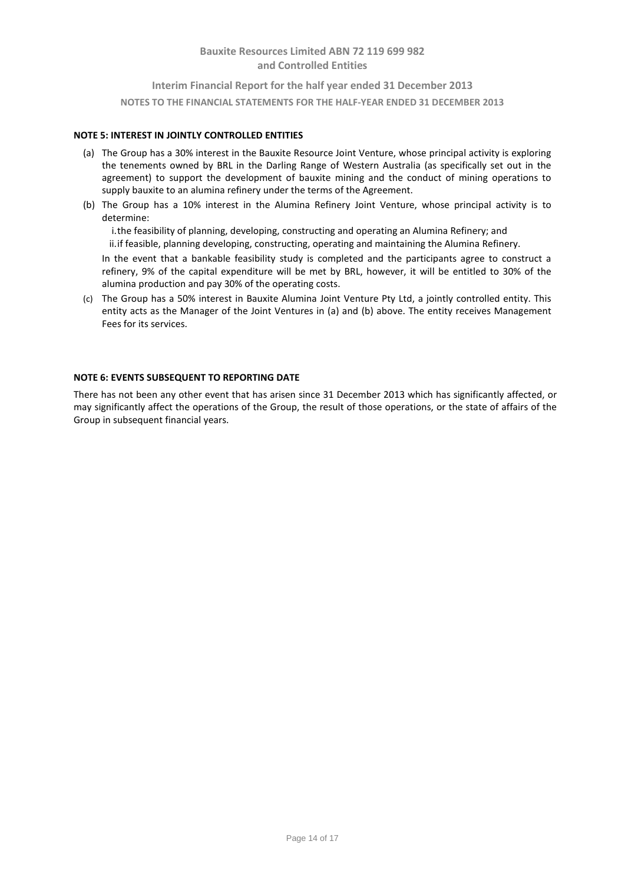# **Interim Financial Report for the half year ended 31 December 2013 NOTES TO THE FINANCIAL STATEMENTS FOR THE HALF-YEAR ENDED 31 DECEMBER 2013**

### **NOTE 5: INTEREST IN JOINTLY CONTROLLED ENTITIES**

- (a) The Group has a 30% interest in the Bauxite Resource Joint Venture, whose principal activity is exploring the tenements owned by BRL in the Darling Range of Western Australia (as specifically set out in the agreement) to support the development of bauxite mining and the conduct of mining operations to supply bauxite to an alumina refinery under the terms of the Agreement.
- (b) The Group has a 10% interest in the Alumina Refinery Joint Venture, whose principal activity is to determine:

i.the feasibility of planning, developing, constructing and operating an Alumina Refinery; and

ii.if feasible, planning developing, constructing, operating and maintaining the Alumina Refinery.

In the event that a bankable feasibility study is completed and the participants agree to construct a refinery, 9% of the capital expenditure will be met by BRL, however, it will be entitled to 30% of the alumina production and pay 30% of the operating costs.

(c) The Group has a 50% interest in Bauxite Alumina Joint Venture Pty Ltd, a jointly controlled entity. This entity acts as the Manager of the Joint Ventures in (a) and (b) above. The entity receives Management Fees for its services.

### **NOTE 6: EVENTS SUBSEQUENT TO REPORTING DATE**

There has not been any other event that has arisen since 31 December 2013 which has significantly affected, or may significantly affect the operations of the Group, the result of those operations, or the state of affairs of the Group in subsequent financial years.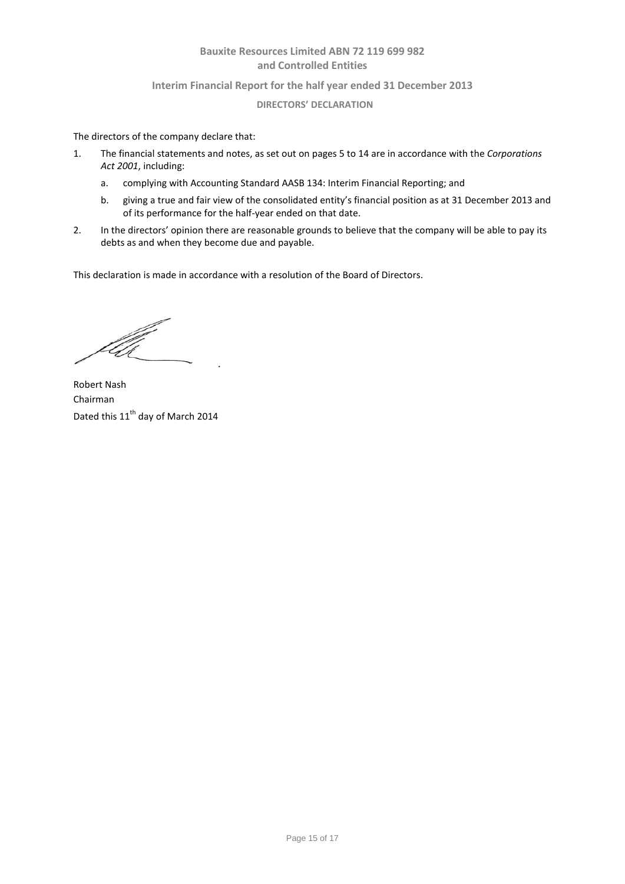### **Interim Financial Report for the half year ended 31 December 2013**

### **DIRECTORS' DECLARATION**

The directors of the company declare that:

- 1. The financial statements and notes, as set out on pages 5 to 14 are in accordance with the *Corporations Act 2001*, including:
	- a. complying with Accounting Standard AASB 134: Interim Financial Reporting; and
	- b. giving a true and fair view of the consolidated entity's financial position as at 31 December 2013 and of its performance for the half-year ended on that date.
- 2. In the directors' opinion there are reasonable grounds to believe that the company will be able to pay its debts as and when they become due and payable.

This declaration is made in accordance with a resolution of the Board of Directors.

Robert Nash Chairman Dated this 11<sup>th</sup> day of March 2014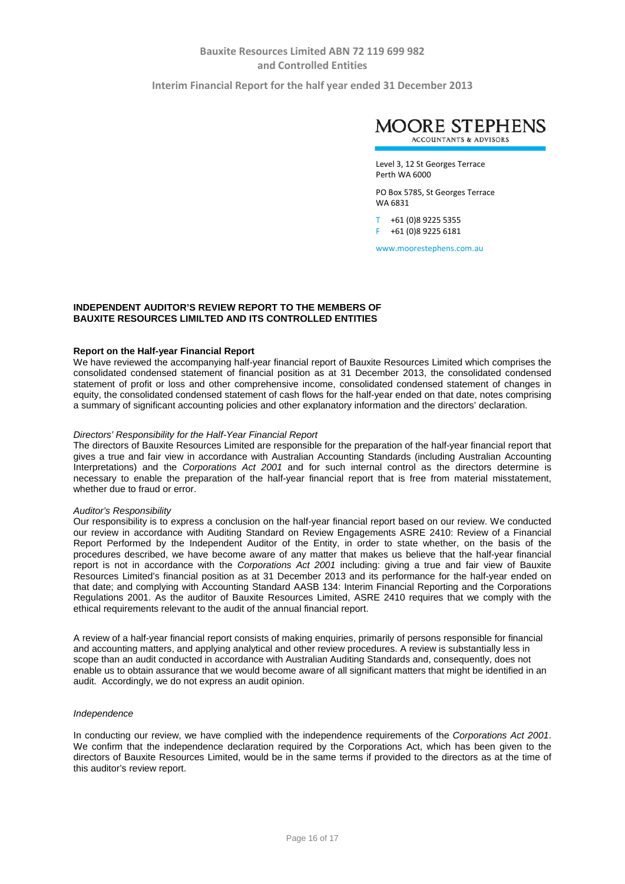**Interim Financial Report for the half year ended 31 December 2013**



Level 3, 12 St Georges Terrace Perth WA 6000

PO Box 5785, St Georges Terrace WA 6831

T +61 (0)8 9225 5355 F +61 (0)8 9225 6181

www.moorestephens.com.au

### **INDEPENDENT AUDITOR'S REVIEW REPORT TO THE MEMBERS OF BAUXITE RESOURCES LIMILTED AND ITS CONTROLLED ENTITIES**

#### **Report on the Half-year Financial Report**

We have reviewed the accompanying half-year financial report of Bauxite Resources Limited which comprises the consolidated condensed statement of financial position as at 31 December 2013, the consolidated condensed statement of profit or loss and other comprehensive income, consolidated condensed statement of changes in equity, the consolidated condensed statement of cash flows for the half-year ended on that date, notes comprising a summary of significant accounting policies and other explanatory information and the directors' declaration.

#### *Directors' Responsibility for the Half-Year Financial Report*

The directors of Bauxite Resources Limited are responsible for the preparation of the half-year financial report that gives a true and fair view in accordance with Australian Accounting Standards (including Australian Accounting Interpretations) and the *Corporations Act 2001* and for such internal control as the directors determine is necessary to enable the preparation of the half-year financial report that is free from material misstatement, whether due to fraud or error.

#### *Auditor's Responsibility*

Our responsibility is to express a conclusion on the half-year financial report based on our review. We conducted our review in accordance with Auditing Standard on Review Engagements ASRE 2410: Review of a Financial Report Performed by the Independent Auditor of the Entity, in order to state whether, on the basis of the procedures described, we have become aware of any matter that makes us believe that the half-year financial report is not in accordance with the *Corporations Act 2001* including: giving a true and fair view of Bauxite Resources Limited's financial position as at 31 December 2013 and its performance for the half-year ended on that date; and complying with Accounting Standard AASB 134: Interim Financial Reporting and the Corporations Regulations 2001. As the auditor of Bauxite Resources Limited, ASRE 2410 requires that we comply with the ethical requirements relevant to the audit of the annual financial report.

A review of a half-year financial report consists of making enquiries, primarily of persons responsible for financial and accounting matters, and applying analytical and other review procedures. A review is substantially less in scope than an audit conducted in accordance with Australian Auditing Standards and, consequently, does not enable us to obtain assurance that we would become aware of all significant matters that might be identified in an audit. Accordingly, we do not express an audit opinion.

#### *Independence*

In conducting our review, we have complied with the independence requirements of the *Corporations Act 2001*. We confirm that the independence declaration required by the Corporations Act, which has been given to the directors of Bauxite Resources Limited, would be in the same terms if provided to the directors as at the time of this auditor's review report.